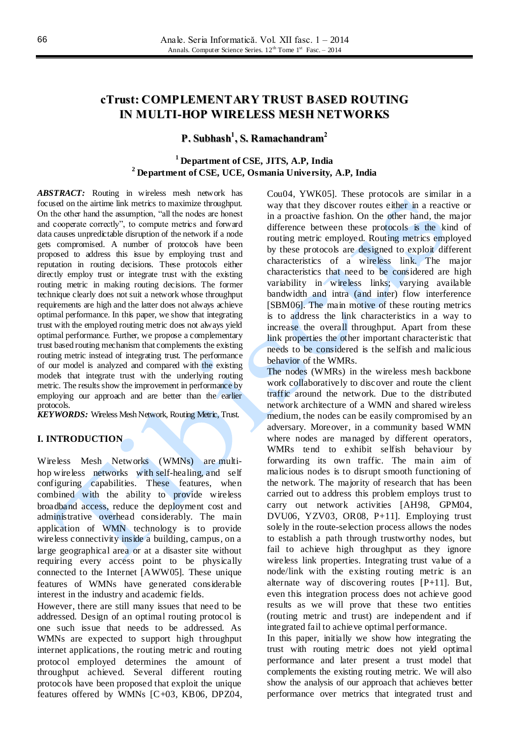# **cTrust: COMPLEMENTARY TRUST BASED ROUTING IN MULTI-HOP WIRELESS MESH NETWORKS**

# **P. Subhash 1 , S. Ramachandram 2**

# **<sup>1</sup> Department of CSE, JITS, A.P, India <sup>2</sup> Department of CSE, UCE, Osmania University, A.P, India**

*ABSTRACT:* Routing in wireless mesh network has focused on the airtime link metrics to maximize throughput. On the other hand the assumption, "all the nodes are honest and cooperate correctly", to compute metrics and forward data causes unpredictable disruption of the network if a node gets compromised. A number of protocols have been proposed to address this issue by employing trust and reputation in routing decisions. These protocols either directly employ trust or integrate trust with the existing routing metric in making routing decisions. The former technique clearly does not suit a network whose throughput requirements are high and the latter does not always achieve optimal performance. In this paper, we show that integrating trust with the employed routing metric does not always yield optimal performance. Further, we propose a complementary trust based routing mechanism that complements the existing routing metric instead of integrating trust. The performance of our model is analyzed and compared with the existing models that integrate trust with the underlying routing metric. The results show the improvement in performance by employing our approach and are better than the earlier protocols.

*KEYWORDS:* Wireless Mesh Network, Routing Metric, Trust.

## **I. INTRODUCTION**

Wireless Mesh Networks (WMNs) are multihop wireless networks with self-healing, and self configuring capabilities. These features, when combined with the ability to provide wireless broadband access, reduce the deployment cost and administrative overhead considerably. The main application of WMN technology is to provide wireless connectivity inside a building, campus, on a large geographical area or at a disaster site without requiring every access point to be physically connected to the Internet [AWW05]. These unique features of WMNs have generated considerable interest in the industry and academic fields.

However, there are still many issues that need to be addressed. Design of an optimal routing protocol is one such issue that needs to be addressed. As WMNs are expected to support high throughput internet applications, the routing metric and routing protocol employed determines the amount of throughput achieved. Several different routing protocols have been proposed that exploit the unique features offered by WMNs [C+03, KB06, DPZ04, Cou04, YWK05]. These protocols are similar in a way that they discover routes either in a reactive or in a proactive fashion. On the other hand, the major difference between these protocols is the kind of routing metric employed. Routing metrics employed by these protocols are designed to exploit different characteristics of a wireless link. The major characteristics that need to be considered are high variability in wireless links; varying available bandwidth and intra (and inter) flow interference [SBM06]. The main motive of these routing metrics is to address the link characteristics in a way to increase the overall throughput. Apart from these link properties the other important characteristic that needs to be considered is the selfish and malicious behavior of the WMRs.

The nodes (WMRs) in the wireless mesh backbone work collaboratively to discover and route the client traffic around the network. Due to the distributed network architecture of a WMN and shared wireless medium, the nodes can be easily compromised by an adversary. Moreover, in a community based WMN where nodes are managed by different operators, WMRs tend to exhibit selfish behaviour by forwarding its own traffic. The main aim of malicious nodes is to disrupt smooth functioning of the network. The majority of research that has been carried out to address this problem employs trust to carry out network activities [AH98, GPM04, DVU06, YZV03, OR08, P+11]. Employing trust solely in the route-selection process allows the nodes to establish a path through trustworthy nodes, but fail to achieve high throughput as they ignore wireless link properties. Integrating trust value of a node/link with the existing routing metric is an alternate way of discovering routes [P+11]. But, even this integration process does not achieve good results as we will prove that these two entities (routing metric and trust) are independent and if integrated fail to achieve optimal performance.

In this paper, initially we show how integrating the trust with routing metric does not yield optimal performance and later present a trust model that complements the existing routing metric. We will also show the analysis of our approach that achieves better performance over metrics that integrated trust and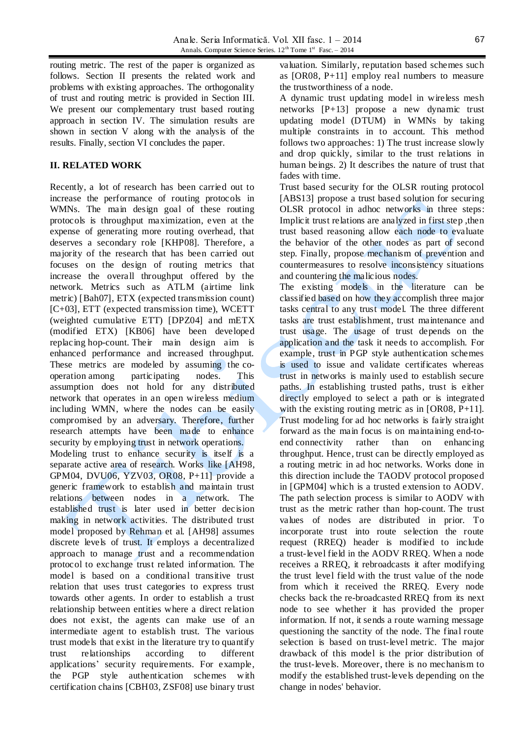routing metric. The rest of the paper is organized as follows. Section II presents the related work and problems with existing approaches. The orthogonality of trust and routing metric is provided in Section III. We present our complementary trust based routing approach in section IV. The simulation results are shown in section V along with the analysis of the results. Finally, section VI concludes the paper.

## **II. RELATED WORK**

Recently, a lot of research has been carried out to increase the performance of routing protocols in WMNs. The main design goal of these routing protocols is throughput maximization, even at the expense of generating more routing overhead, that deserves a secondary role [KHP08]. Therefore, a majority of the research that has been carried out focuses on the design of routing metrics that increase the overall throughput offered by the network. Metrics such as ATLM (airtime link metric) [Bah07], ETX (expected transmission count) [C+03], ETT (expected transmission time), WCETT (weighted cumulative ETT) [DPZ04] and mETX (modified ETX) [KB06] have been developed replacing hop-count. Their main design aim is enhanced performance and increased throughput. These metrics are modeled by assuming the cooperation among participating nodes. This assumption does not hold for any distributed network that operates in an open wireless medium including WMN, where the nodes can be easily compromised by an adversary. Therefore, further research attempts have been made to enhance security by employing trust in network operations. Modeling trust to enhance security is itself is a separate active area of research. Works like [AH98, GPM04, DVU06, YZV03, OR08, P+11] provide a generic framework to establish and maintain trust relations between nodes in a network. The established trust is later used in better decision making in network activities. The distributed trust model proposed by Rehman et al. [AH98] assumes discrete levels of trust. It employs a decentralized approach to manage trust and a recommendation protocol to exchange trust related information. The model is based on a conditional transitive trust relation that uses trust categories to express trust towards other agents. In order to establish a trust relationship between entities where a direct relation

does not exist, the agents can make use of an intermediate agent to establish trust. The various trust models that exist in the literature try to quantify trust relationships according to different applications' security requirements. For example, the PGP style authentication schemes with certification chains [CBH03, ZSF08] use binary trust

valuation. Similarly, reputation based schemes such as [OR08, P+11] employ real numbers to measure the trustworthiness of a node.

A dynamic trust updating model in wireless mesh networks [P+13] propose a new dynamic trust updating model (DTUM) in WMNs by taking multiple constraints in to account. This method follows two approaches: 1) The trust increase slowly and drop quickly, similar to the trust relations in human beings. 2) It describes the nature of trust that fades with time.

Trust based security for the OLSR routing protocol [ABS13] propose a trust based solution for securing OLSR protocol in adhoc networks in three steps: Implicit trust relations are analyzed in first step ,then trust based reasoning allow each node to evaluate the behavior of the other nodes as part of second step. Finally, propose mechanism of prevention and countermeasures to resolve inconsistency situations and countering the malicious nodes.

The existing models in the literature can be classified based on how they accomplish three major tasks central to any trust model. The three different tasks are trust establishment, trust maintenance and trust usage. The usage of trust depends on the application and the task it needs to accomplish. For example, trust in PGP style authentication schemes is used to issue and validate certificates whereas trust in networks is mainly used to establish secure paths. In establishing trusted paths, trust is either directly employed to select a path or is integrated with the existing routing metric as in [OR08, P+11]. Trust modeling for ad hoc networks is fairly straight forward as the main focus is on maintaining end-toend connectivity rather than on enhancing throughput. Hence, trust can be directly employed as a routing metric in ad hoc networks. Works done in this direction include the TAODV protocol proposed in [GPM04] which is a trusted extension to AODV. The path selection process is similar to AODV with trust as the metric rather than hop-count. The trust values of nodes are distributed in prior. To incorporate trust into route selection the route request (RREQ) header is modified to include a trust-level field in the AODV RREQ. When a node receives a RREQ, it rebroadcasts it after modifying the trust level field with the trust value of the node from which it received the RREQ. Every node checks back the re-broadcasted RREQ from its next node to see whether it has provided the proper information. If not, it sends a route warning message questioning the sanctity of the node. The final route selection is based on trust-level metric. The major drawback of this model is the prior distribution of the trust-levels. Moreover, there is no mechanism to modify the established trust-levels depending on the change in nodes' behavior.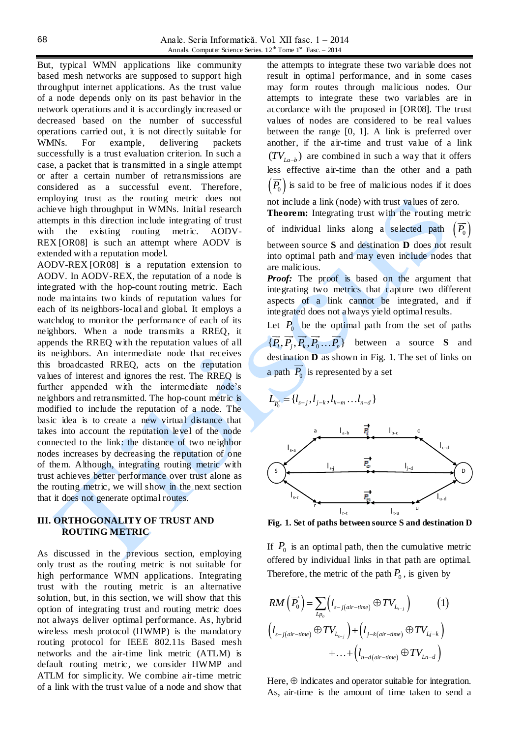But, typical WMN applications like community based mesh networks are supposed to support high throughput internet applications. As the trust value of a node depends only on its past behavior in the network operations and it is accordingly increased or decreased based on the number of successful operations carried out, it is not directly suitable for WMNs. For example, delivering packets successfully is a trust evaluation criterion. In such a case, a packet that is transmitted in a single attempt or after a certain number of retransmissions are considered as a successful event. Therefore, employing trust as the routing metric does not achieve high throughput in WMNs. Initial research attempts in this direction include integrating of trust with the existing routing metric. AODV-REX [OR08] is such an attempt where AODV is extended with a reputation model.

AODV-REX [OR08] is a reputation extension to AODV. In AODV-REX, the reputation of a node is integrated with the hop-count routing metric. Each node maintains two kinds of reputation values for each of its neighbors-local and global. It employs a watchdog to monitor the performance of each of its neighbors. When a node transmits a RREQ, it appends the RREQ with the reputation values of all its neighbors. An intermediate node that receives this broadcasted RREQ, acts on the reputation values of interest and ignores the rest. The RREQ is further appended with the intermediate node's neighbors and retransmitted. The hop-count metric is modified to include the reputation of a node. The basic idea is to create a new virtual distance that takes into account the reputation level of the node connected to the link: the distance of two neighbor nodes increases by decreasing the reputation of one of them. Although, integrating routing metric with trust achieves better performance over trust alone as the routing metric, we will show in the next section that it does not generate optimal routes.

## **III. ORTHOGONALITY OF TRUST AND ROUTING METRIC**

As discussed in the previous section, employing only trust as the routing metric is not suitable for high performance WMN applications. Integrating trust with the routing metric is an alternative solution, but, in this section, we will show that this option of integrating trust and routing metric does not always deliver optimal performance. As, hybrid wireless mesh protocol (HWMP) is the mandatory routing protocol for IEEE 802.11s Based mesh networks and the air-time link metric (ATLM) is default routing metric, we consider HWMP and ATLM for simplicity. We combine air-time metric of a link with the trust value of a node and show that

the attempts to integrate these two variable does not result in optimal performance, and in some cases may form routes through malicious nodes. Our attempts to integrate these two variables are in accordance with the proposed in [OR08]. The trust values of nodes are considered to be real values between the range [0, 1]. A link is preferred over another, if the air-time and trust value of a link  $(TV_{La-b})$  are combined in such a way that it offers less effective air-time than the other and a path  $(P_0)$  is said to be free of malicious nodes if it does

not include a link (node) with trust values of zero.

**Theorem:** Integrating trust with the routing metric of individual links along a selected path  $(P_0)$ 

between source **S** and destination **D** does not result into optimal path and may even include nodes that are malicious.

*Proof:* The proof is based on the argument that integrating two metrics that capture two different aspects of a link cannot be integrated, and if integrated does not always yield optimal results.

Let  $P_0$  be the optimal path from the set of paths  $\{\overrightarrow{P}_i, \overrightarrow{P}_j, \overrightarrow{P}_k, \overrightarrow{P}_0, \dots, \overrightarrow{P}_n\}$  between a source **S** and destination **D** as shown in Fig. 1. The set of links on a path  $P_0$  is represented by a set

$$
L_{\overline{P_0}} = \{l_{s-j}, l_{j-k}, l_{k-m}, \ldots, l_{n-d}\}
$$



**Fig. 1. Set of paths between source S and destination D**

If  $P_0$  is an optimal path, then the cumulative metric offered by individual links in that path are optimal. Therefore, the metric of the path  $P_0$ , is given by

$$
RM\left(\overrightarrow{P_{0}}\right) = \sum_{L_{P_{o}}}\left(l_{s-j-air-time}\oplus TV_{L_{s-j}}\right) \qquad (1)
$$

$$
\left(l_{s-j-air-time}\oplus TV_{L_{s-j}}\right) + \left(l_{j-k-air-time}\oplus TV_{L_{j-k}}\right) + \dots + \left(l_{n-d-air-time}\oplus TV_{Ln-d}\right)
$$

Here,  $\oplus$  indicates and operator suitable for integration. As, air-time is the amount of time taken to send a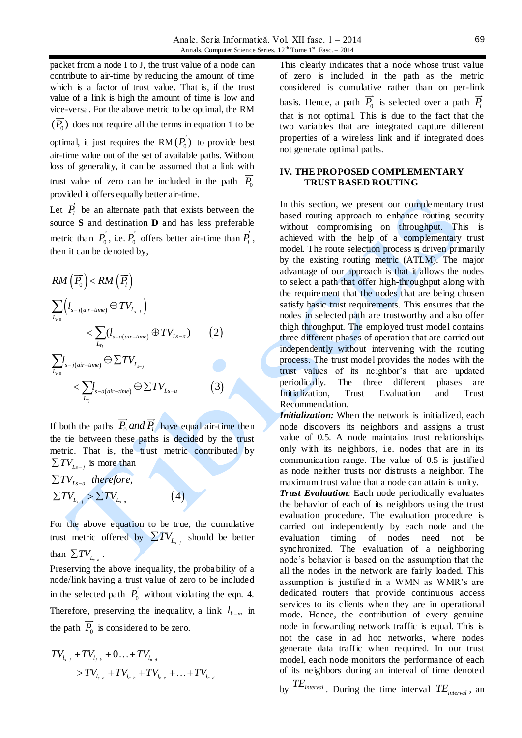packet from a node I to J, the trust value of a node can contribute to air-time by reducing the amount of time which is a factor of trust value. That is, if the trust value of a link is high the amount of time is low and vice-versa. For the above metric to be optimal, the RM  $(P_0)$  does not require all the terms in equation 1 to be optimal, it just requires the  $RM(P_0)$  to provide best air-time value out of the set of available paths. Without loss of generality, it can be assumed that a link with trust value of zero can be included in the path  $P_0$ provided it offers equally better air-time.

Let  $P_l$  be an alternate path that exists between the source **S** and destination **D** and has less preferable metric than  $P_0$ , i.e.  $P_0$  offers better air-time than  $P_l$ , then it can be denoted by,

$$
RM\left(\overrightarrow{P_{0}}\right) < RM\left(\overrightarrow{P_{l}}\right)
$$
\n
$$
\sum_{L_{p_{0}}}\left(l_{s-j(air-time)} \oplus TV_{L_{s-j}}\right) \leq \sum_{L_{p_{1}}} \left(l_{s-a(air-time)} \oplus TV_{L_{s-a}}\right) \qquad (2)
$$
\n
$$
\sum_{L_{p_{0}}} l_{s-j(air-time)} \oplus \sum TV_{L_{s-j}} \leq \sum_{L_{p_{0}}} l_{s-a(air-time)} \oplus \sum TV_{L_{s-a}} \qquad (3)
$$

If both the paths  $P_0$  and  $P_l$  have equal air-time then the tie between these paths is decided by the trust metric. That is, the trust metric contributed by

$$
\Sigma TV_{L_{s-j}}
$$
 is more than  
\n
$$
\Sigma TV_{L_{s-a}}
$$
 therefore,  
\n
$$
\Sigma TV_{L_{s-j}} > \Sigma TV_{L_{s-a}}
$$
 (4)

For the above equation to be true, the cumulative trust metric offered by  $\Sigma TV_{L_{s-j}}$  should be better than  $\sum TV_{L_{s-a}}$ .

Preserving the above inequality, the proba bility of a node/link having a trust value of zero to be included in the selected path  $P_0$  without violating the eqn. 4. Therefore, preserving the inequality, a link  $l_{k-m}$  in the path  $P_0$  is considered to be zero.

$$
TV_{I_{s-j}} + TV_{I_{j-k}} + 0... + TV_{I_{n-d}}
$$
  
>  $TV_{I_{s-a}} + TV_{I_{a-b}} + TV_{I_{b-c}} + ... + TV_{I_{n-d}}$ 

This clearly indicates that a node whose trust value of zero is included in the path as the metric considered is cumulative rather than on per-link basis. Hence, a path  $P_0$  is selected over a path  $P_l$ that is not optimal. This is due to the fact that the two variables that are integrated capture different properties of a wireless link and if integrated does not generate optimal paths.

#### **IV. THE PROPOSED COMPLEMENTARY TRUST BASED ROUTING**

In this section, we present our complementary trust based routing approach to enhance routing security without compromising on throughput. This is achieved with the help of a complementary trust model. The route selection process is driven primarily by the existing routing metric (ATLM). The major advantage of our approach is that it allows the nodes to select a path that offer high-throughput along with the requirement that the nodes that are being chosen satisfy basic trust requirements. This ensures that the nodes in selected path are trustworthy and also offer thigh throughput. The employed trust model contains three different phases of operation that are carried out independently without intervening with the routing process. The trust model provides the nodes with the trust values of its neighbor's that are updated periodically. The three different phases are Initialization, Trust Evaluation and Trust Recommendation.

*Initialization:* When the network is initialized, each node discovers its neighbors and assigns a trust value of 0.5. A node maintains trust relationships only with its neighbors, i.e. nodes that are in its communication range. The value of 0.5 is justified as node neither trusts nor distrusts a neighbor. The maximum trust value that a node can attain is unity.

*Trust Evaluation:* Each node periodically evaluates the behavior of each of its neighbors using the trust evaluation procedure. The evaluation procedure is carried out independently by each node and the evaluation timing of nodes need not be synchronized. The evaluation of a neighboring node's behavior is based on the assumption that the all the nodes in the network are fairly loaded. This assumption is justified in a WMN as WMR's are dedicated routers that provide continuous access services to its clients when they are in operational mode. Hence, the contribution of every genuine node in forwarding network traffic is equal. This is not the case in ad hoc networks, where nodes generate data traffic when required. In our trust model, each node monitors the performance of each of its neighbors during an interval of time denoted

by *TEinterval* . During the time interval *TEinterval* , an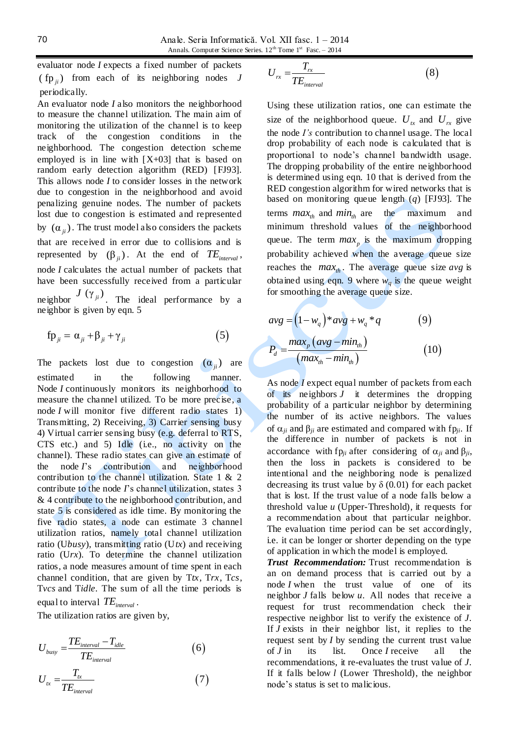evaluator node *I* expects a fixed number of packets  $(\text{fp}_{ji})$  from each of its neighboring nodes *J* periodically.

An evaluator node *I* also monitors the neighborhood to measure the channel utilization. The main aim of monitoring the utilization of the channel is to keep track of the congestion conditions in the neighborhood. The congestion detection scheme employed is in line with [X+03] that is based on random early detection algorithm (RED) [FJ93]. This allows node *I* to consider losses in the network due to congestion in the neighborhood and avoid penalizing genuine nodes. The number of packets lost due to congestion is estimated and represented by  $(\alpha_{ji})$ . The trust model also considers the packets that are received in error due to collisions and is represented by  $(\beta_{ji})$ . At the end of  $TE_{interval}$ , node *I* calculates the actual number of packets that have been successfully received from a particular neighbor  $J(\gamma_{ji})$ . The ideal performance by a neighbor is given by eqn. 5

$$
f p_{ji} = \alpha_{ji} + \beta_{ji} + \gamma_{ji}
$$
 (5)

The packets lost due to congestion  $(\alpha_{ji})$  are estimated in the following manner. Node *I* continuously monitors its neighborhood to measure the channel utilized. To be more precise, a node *I* will monitor five different radio states 1) Transmitting, 2) Receiving, 3) Carrier sensing busy 4) Virtual carrier sensing busy (e.g. deferral to RTS, CTS etc.) and  $5$ ) Idle (i.e., no activity on the channel). These radio states can give an estimate of the node *I*'s contribution and neighborhood contribution to the channel utilization. State 1 & 2 contribute to the node *I*'s channel utilization, states 3 & 4 contribute to the neighborhood contribution, and state 5 is considered as idle time. By monitoring the five radio states, a node can estimate 3 channel utilization ratios, namely total channel utilization ratio (U*busy*), transmitting ratio (U*tx*) and receiving ratio (U*rx*). To determine the channel utilization ratios, a node measures amount of time spent in each channel condition, that are given by T*tx*, T*rx*, T*cs*, T*vcs* and T*idle*. The sum of all the time periods is equal to interval *TEinterval* .

The utilization ratios are given by,

$$
U_{\text{busy}} = \frac{TE_{\text{interval}} - T_{\text{idle}}}{TE_{\text{interval}}}
$$
(6)

$$
U_{tx} = \frac{T_{tx}}{TE_{interval}}
$$
 (7)

$$
U_{rx} = \frac{T_{rx}}{TE_{interval}}
$$
 (8)

Using these utilization ratios, one can estimate the size of the neighborhood queue.  $U_{tx}$  and  $U_{rx}$  give the node *I's* contribution to channel usage. The local drop probability of each node is calculated that is proportional to node's channel bandwidth usage. The dropping probability of the entire neighborhood is determined using eqn. 10 that is derived from the RED congestion algorithm for wired networks that is based on monitoring queue length (*q*) [FJ93]. The terms  $max_{th}$  and  $min_{th}$  are the maximum and minimum threshold values of the neighborhood queue. The term  $max_p$  is the maximum dropping probability achieved when the average queue size reaches the  $max_{th}$ . The average queue size  $avg$  is obtained using eqn. 9 where  $w_q$  is the queue weight for smoothing the average queue size.

$$
avg = (1 - wq) * avg + wq * q
$$
  
\n
$$
Pd = \frac{maxp (avg - minth)}{(maxth - minth)}
$$
  
\n(10)

As node *I* expect equal number of packets from each of its neighbors *J* it determines the dropping probability of a particular neighbor by determining the number of its active neighbors. The values of  $\alpha_{ii}$  and  $\beta_{ii}$  are estimated and compared with fp<sub>*ii*</sub>. If the difference in number of packets is not in accordance with fp<sub>*ii*</sub> after considering of  $\alpha_{ii}$  and  $\beta_{ii}$ , then the loss in packets is considered to be intentional and the neighboring node is penalized decreasing its trust value by  $\delta$  (0.01) for each packet that is lost. If the trust value of a node falls below a threshold value *u* (Upper-Threshold), it requests for a recommendation about that particular neighbor. The evaluation time period can be set accordingly, i.e. it can be longer or shorter depending on the type of application in which the model is employed.

*Trust Recommendation:* Trust recommendation is an on demand process that is carried out by a node *I* when the trust value of one of its neighbor *J* falls below *u*. All nodes that receive a request for trust recommendation check their respective neighbor list to verify the existence of *J*. If *J* exists in their neighbor list, it replies to the request sent by *I* by sending the current trust value of *J* in its list. Once *I* receive all the recommendations, it re-evaluates the trust value of *J*. If it falls below *l* (Lower Threshold), the neighbor node's status is set to malicious.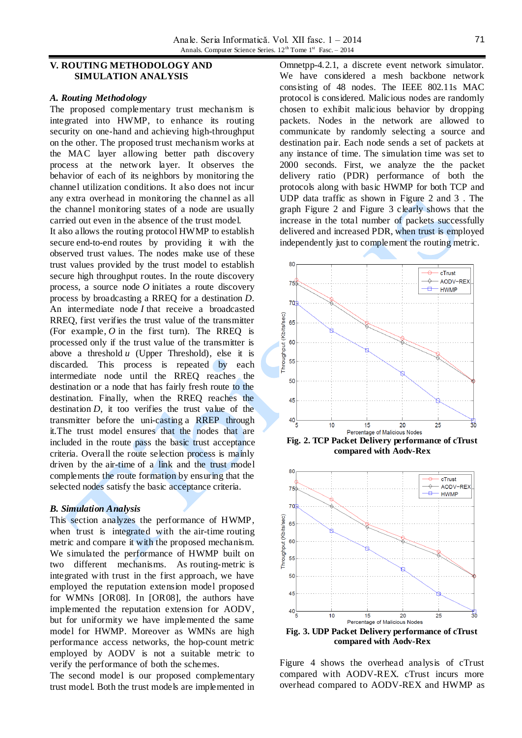### **V. ROUTING METHODOLOGY AND SIMULATION ANALYSIS**

#### *A. Routing Methodology*

The proposed complementary trust mechanism is integrated into HWMP, to enhance its routing security on one-hand and achieving high-throughput on the other. The proposed trust mechanism works at the MAC layer allowing better path discovery process at the network layer. It observes the behavior of each of its neighbors by monitoring the channel utilization conditions. It also does not incur any extra overhead in monitoring the channel as all the channel monitoring states of a node are usually carried out even in the absence of the trust model.

It also allows the routing protocol HWMP to establish secure end-to-end routes by providing it with the observed trust values. The nodes make use of these trust values provided by the trust model to establish secure high throughput routes. In the route discovery process, a source node *O* initiates a route discovery process by broadcasting a RREQ for a destination *D*. An intermediate node *I* that receive a broadcasted RREQ, first verifies the trust value of the transmitter (For example, *O* in the first turn). The RREQ is processed only if the trust value of the transmitter is above a threshold *u* (Upper Threshold), else it is discarded. This process is repeated by each intermediate node until the RREQ reaches the destination or a node that has fairly fresh route to the destination. Finally, when the RREQ reaches the destination *D*, it too verifies the trust value of the transmitter before the uni-casting a RREP through it.The trust model ensures that the nodes that are included in the route pass the basic trust acceptance criteria. Overall the route selection process is mainly driven by the air-time of a link and the trust model complements the route formation by ensuring that the selected nodes satisfy the basic acceptance criteria.

#### *B. Simulation Analysis*

This section analyzes the performance of HWMP, when trust is integrated with the air-time routing metric and compare it with the proposed mechanism. We simulated the performance of HWMP built on two different mechanisms. As routing-metric is integrated with trust in the first approach, we have employed the reputation extension model proposed for WMNs [OR08]. In [OR08], the authors have implemented the reputation extension for AODV, but for uniformity we have implemented the same model for HWMP. Moreover as WMNs are high performance access networks, the hop-count metric employed by AODV is not a suitable metric to verify the performance of both the schemes.

The second model is our proposed complementary trust model. Both the trust models are implemented in

Omnetpp-4.2.1, a discrete event network simulator. We have considered a mesh backbone network consisting of 48 nodes. The IEEE 802.11s MAC protocol is considered. Malicious nodes are randomly chosen to exhibit malicious behavior by dropping packets. Nodes in the network are allowed to communicate by randomly selecting a source and destination pair. Each node sends a set of packets at any instance of time. The simulation time was set to 2000 seconds. First, we analyze the the packet delivery ratio (PDR) performance of both the protocols along with basic HWMP for both TCP and UDP data traffic as shown in Figure 2 and 3 . The graph Figure 2 and Figure 3 clearly shows that the increase in the total number of packets successfully delivered and increased PDR, when trust is employed independently just to complement the routing metric.



**Fig. 2. TCP Packet Delivery performance of cTrust compared with Aodv-Rex**



**compared with Aodv-Rex**

Figure 4 shows the overhead analysis of cTrust compared with AODV-REX. cTrust incurs more overhead compared to AODV-REX and HWMP as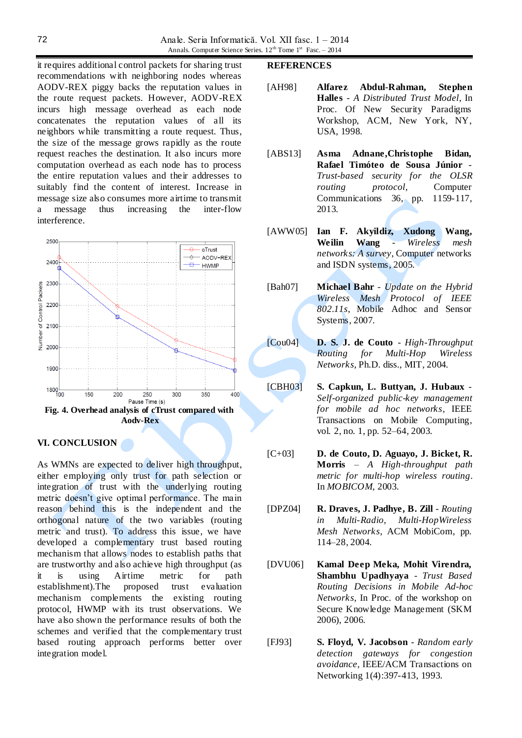it requires additional control packets for sharing trust recommendations with neighboring nodes whereas AODV-REX piggy backs the reputation values in the route request packets. However, AODV-REX incurs high message overhead as each node concatenates the reputation values of all its neighbors while transmitting a route request. Thus, the size of the message grows rapidly as the route request reaches the destination. It also incurs more computation overhead as each node has to process the entire reputation values and their addresses to suitably find the content of interest. Increase in message size also consumes more airtime to transmit a message thus increasing the inter-flow interference.



## **VI. CONCLUSION**

As WMNs are expected to deliver high throughput, either employing only trust for path selection or integration of trust with the underlying routing metric doesn't give optimal performance. The main reason behind this is the independent and the orthogonal nature of the two variables (routing metric and trust). To address this issue, we have developed a complementary trust based routing mechanism that allows nodes to establish paths that are trustworthy and also achieve high throughput (as it is using Airtime metric for path establishment).The proposed trust evaluation mechanism complements the existing routing protocol, HWMP with its trust observations. We have also shown the performance results of both the schemes and verified that the complementary trust based routing approach performs better over integration model.

#### **REFERENCES**

- [AH98] **Alfarez Abdul-Rahman, Stephen Halles** - *A Distributed Trust Model*, In Proc. Of New Security Paradigms Workshop, ACM, New York, NY, USA, 1998.
- [ABS13] **Asma Adnane,Christophe Bidan, Rafael Timóteo de Sousa Júnior** - *Trust-based security for the OLSR routing protocol*, Computer Communications 36, pp. 1159-117, 2013.
- [AWW05] **Ian F. Akyildiz, Xudong Wang, Weilin Wang** - *Wireless mesh networks: A survey*, Computer networks and ISDN systems, 2005.
- [Bah07] **Michael Bahr** *Update on the Hybrid Wireless Mesh Protocol of IEEE 802.11s*, Mobile Adhoc and Sensor Systems, 2007.
- [Cou04] **D. S. J. de Couto** *High-Throughput Routing for Multi-Hop Wireless Networks*, Ph.D. diss., MIT, 2004.
- [CBH03] **S. Capkun, L. Buttyan, J. Hubaux** *Self-organized public-key management for mobile ad hoc networks*, IEEE Transactions on Mobile Computing, vol. 2, no. 1, pp. 52–64, 2003.
- [C+03] **D. de Couto, D. Aguayo, J. Bicket, R. Morris** – *A High-throughput path metric for multi-hop wireless routing*. In *MOBICOM*, 2003.
- [DPZ04] **R. Draves, J. Padhye, B. Zill** *Routing in Multi-Radio, Multi-HopWireless Mesh Networks*, ACM MobiCom, pp. 114–28, 2004.
- [DVU06] **Kamal Deep Meka, Mohit Virendra, Shambhu Upadhyaya** - *Trust Based Routing Decisions in Mobile Ad-hoc Networks*, In Proc. of the workshop on Secure Knowledge Management (SKM 2006), 2006.
- [FJ93] **S. Floyd, V. Jacobson** *Random early detection gateways for congestion avoidance*, IEEE/ACM Transactions on Networking 1(4):397-413, 1993.